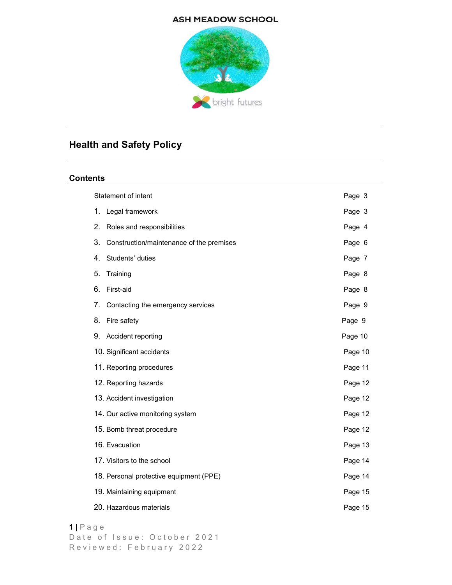## **ASH MEADOW SCHOOL**



# Health and Safety Policy

# **Contents**

| Statement of intent                            | Page 3  |
|------------------------------------------------|---------|
| 1.<br>Legal framework                          | Page 3  |
| 2.<br>Roles and responsibilities               | Page 4  |
| 3.<br>Construction/maintenance of the premises | Page 6  |
| Students' duties<br>4.                         | Page 7  |
| 5.<br>Training                                 | Page 8  |
| 6.<br>First-aid                                | Page 8  |
| 7.<br>Contacting the emergency services        | Page 9  |
| 8.<br>Fire safety                              | Page 9  |
| 9. Accident reporting                          | Page 10 |
| 10. Significant accidents                      | Page 10 |
| 11. Reporting procedures                       | Page 11 |
| 12. Reporting hazards                          | Page 12 |
| 13. Accident investigation                     | Page 12 |
| 14. Our active monitoring system               | Page 12 |
| 15. Bomb threat procedure                      | Page 12 |
| 16. Evacuation                                 | Page 13 |
| 17. Visitors to the school                     | Page 14 |
| 18. Personal protective equipment (PPE)        | Page 14 |
| 19. Maintaining equipment                      | Page 15 |
| 20. Hazardous materials                        | Page 15 |
|                                                |         |

## 1 | P a g e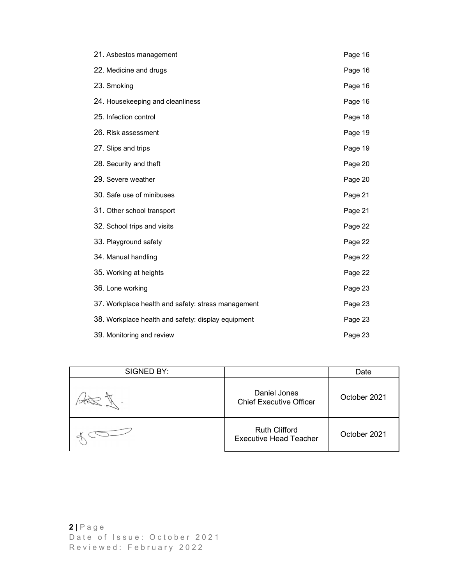| 21. Asbestos management                            | Page 16 |
|----------------------------------------------------|---------|
| 22. Medicine and drugs                             | Page 16 |
| 23. Smoking                                        | Page 16 |
| 24. Housekeeping and cleanliness                   | Page 16 |
| 25. Infection control                              | Page 18 |
| 26. Risk assessment                                | Page 19 |
| 27. Slips and trips                                | Page 19 |
| 28. Security and theft                             | Page 20 |
| 29. Severe weather                                 | Page 20 |
| 30. Safe use of minibuses                          | Page 21 |
| 31. Other school transport                         | Page 21 |
| 32. School trips and visits                        | Page 22 |
| 33. Playground safety                              | Page 22 |
| 34. Manual handling                                | Page 22 |
| 35. Working at heights                             | Page 22 |
| 36. Lone working                                   | Page 23 |
| 37. Workplace health and safety: stress management | Page 23 |
| 38. Workplace health and safety: display equipment | Page 23 |
| 39. Monitoring and review                          | Page 23 |

| SIGNED BY:<br>Date<br>Daniel Jones<br>October 2021<br><b>Chief Executive Officer</b><br><b>Ruth Clifford</b><br>October 2021<br><b>Executive Head Teacher</b><br>$2   P \nexists g e$<br>Date of Issue: October 2021<br>Reviewed: February 2022 | 39. Monitoring and review | Page 23 |
|-------------------------------------------------------------------------------------------------------------------------------------------------------------------------------------------------------------------------------------------------|---------------------------|---------|
|                                                                                                                                                                                                                                                 |                           |         |
|                                                                                                                                                                                                                                                 |                           |         |
|                                                                                                                                                                                                                                                 |                           |         |
|                                                                                                                                                                                                                                                 |                           |         |
|                                                                                                                                                                                                                                                 |                           |         |
|                                                                                                                                                                                                                                                 |                           |         |
|                                                                                                                                                                                                                                                 |                           |         |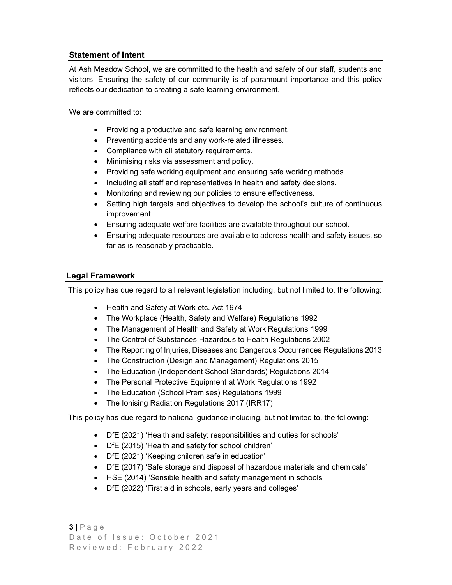# Statement of Intent

At Ash Meadow School, we are committed to the health and safety of our staff, students and visitors. Ensuring the safety of our community is of paramount importance and this policy reflects our dedication to creating a safe learning environment.

We are committed to:

- Providing a productive and safe learning environment.
- Preventing accidents and any work-related illnesses.
- Compliance with all statutory requirements.
- Minimising risks via assessment and policy.
- Providing safe working equipment and ensuring safe working methods.
- Including all staff and representatives in health and safety decisions.
- Monitoring and reviewing our policies to ensure effectiveness.
- Setting high targets and objectives to develop the school's culture of continuous improvement.
- Ensuring adequate welfare facilities are available throughout our school.
- Ensuring adequate resources are available to address health and safety issues, so far as is reasonably practicable.

# Legal Framework

This policy has due regard to all relevant legislation including, but not limited to, the following:

- Health and Safety at Work etc. Act 1974
- The Workplace (Health, Safety and Welfare) Regulations 1992
- The Management of Health and Safety at Work Regulations 1999
- The Control of Substances Hazardous to Health Regulations 2002
- The Reporting of Injuries, Diseases and Dangerous Occurrences Regulations 2013
- The Construction (Design and Management) Regulations 2015
- The Education (Independent School Standards) Regulations 2014
- The Personal Protective Equipment at Work Regulations 1992
- The Education (School Premises) Regulations 1999
- The Ionising Radiation Regulations 2017 (IRR17)

This policy has due regard to national guidance including, but not limited to, the following:

- DfE (2021) 'Health and safety: responsibilities and duties for schools'
- DfE (2015) 'Health and safety for school children'
- DfE (2021) 'Keeping children safe in education'
- DfE (2017) 'Safe storage and disposal of hazardous materials and chemicals'
- HSE (2014) 'Sensible health and safety management in schools'
- DfE (2022) 'First aid in schools, early years and colleges'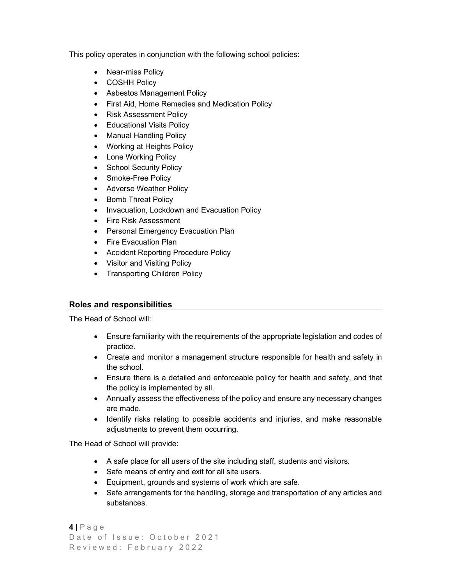This policy operates in conjunction with the following school policies:

- Near-miss Policy
- COSHH Policy
- Asbestos Management Policy
- First Aid, Home Remedies and Medication Policy
- Risk Assessment Policy
- Educational Visits Policy
- Manual Handling Policy
- Working at Heights Policy
- Lone Working Policy
- School Security Policy
- Smoke-Free Policy
- Adverse Weather Policy
- Bomb Threat Policy
- Invacuation, Lockdown and Evacuation Policy
- Fire Risk Assessment
- Personal Emergency Evacuation Plan
- Fire Evacuation Plan
- Accident Reporting Procedure Policy
- Visitor and Visiting Policy
- Transporting Children Policy

# Roles and responsibilities

The Head of School will:

- Ensure familiarity with the requirements of the appropriate legislation and codes of practice.
- Create and monitor a management structure responsible for health and safety in the school.
- Ensure there is a detailed and enforceable policy for health and safety, and that the policy is implemented by all.
- Annually assess the effectiveness of the policy and ensure any necessary changes are made.
- Identify risks relating to possible accidents and injuries, and make reasonable adjustments to prevent them occurring.

The Head of School will provide:

- A safe place for all users of the site including staff, students and visitors.
- Safe means of entry and exit for all site users.
- Equipment, grounds and systems of work which are safe.
- Safe arrangements for the handling, storage and transportation of any articles and substances.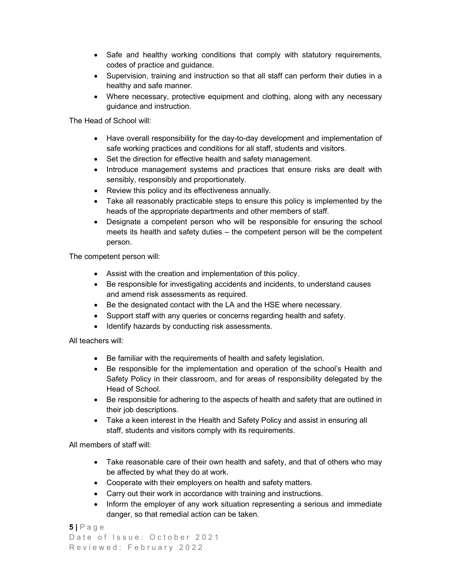- Safe and healthy working conditions that comply with statutory requirements, codes of practice and guidance.
- Supervision, training and instruction so that all staff can perform their duties in a healthy and safe manner.
- Where necessary, protective equipment and clothing, along with any necessary guidance and instruction.

The Head of School will:

- Have overall responsibility for the day-to-day development and implementation of safe working practices and conditions for all staff, students and visitors.
- Set the direction for effective health and safety management.
- Introduce management systems and practices that ensure risks are dealt with sensibly, responsibly and proportionately.
- Review this policy and its effectiveness annually.
- Take all reasonably practicable steps to ensure this policy is implemented by the heads of the appropriate departments and other members of staff.
- Designate a competent person who will be responsible for ensuring the school meets its health and safety duties – the competent person will be the competent person.

The competent person will:

- Assist with the creation and implementation of this policy.
- Be responsible for investigating accidents and incidents, to understand causes and amend risk assessments as required.
- Be the designated contact with the LA and the HSE where necessary.
- Support staff with any queries or concerns regarding health and safety.
- Identify hazards by conducting risk assessments.

All teachers will:

- Be familiar with the requirements of health and safety legislation.
- Be responsible for the implementation and operation of the school's Health and Safety Policy in their classroom, and for areas of responsibility delegated by the Head of School.
- Be responsible for adhering to the aspects of health and safety that are outlined in their job descriptions.
- Take a keen interest in the Health and Safety Policy and assist in ensuring all staff, students and visitors comply with its requirements.

All members of staff will:

- Take reasonable care of their own health and safety, and that of others who may be affected by what they do at work.
- Cooperate with their employers on health and safety matters.
- Carry out their work in accordance with training and instructions.
- Inform the employer of any work situation representing a serious and immediate danger, so that remedial action can be taken.

```
5 | P a g e
Date of Issue: October 2021
Reviewed: February 2022
```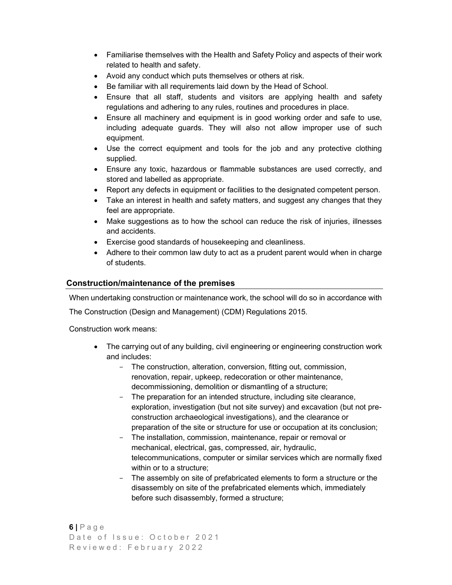- Familiarise themselves with the Health and Safety Policy and aspects of their work related to health and safety.
- Avoid any conduct which puts themselves or others at risk.
- Be familiar with all requirements laid down by the Head of School.
- Ensure that all staff, students and visitors are applying health and safety regulations and adhering to any rules, routines and procedures in place.
- Ensure all machinery and equipment is in good working order and safe to use, including adequate guards. They will also not allow improper use of such equipment.
- Use the correct equipment and tools for the job and any protective clothing supplied.
- Ensure any toxic, hazardous or flammable substances are used correctly, and stored and labelled as appropriate.
- Report any defects in equipment or facilities to the designated competent person.
- Take an interest in health and safety matters, and suggest any changes that they feel are appropriate.
- Make suggestions as to how the school can reduce the risk of injuries, illnesses and accidents.
- Exercise good standards of housekeeping and cleanliness.
- Adhere to their common law duty to act as a prudent parent would when in charge of students.

## Construction/maintenance of the premises

When undertaking construction or maintenance work, the school will do so in accordance with

The Construction (Design and Management) (CDM) Regulations 2015.

Construction work means:

- The carrying out of any building, civil engineering or engineering construction work and includes:
	- The construction, alteration, conversion, fitting out, commission, renovation, repair, upkeep, redecoration or other maintenance, decommissioning, demolition or dismantling of a structure;
	- The preparation for an intended structure, including site clearance, exploration, investigation (but not site survey) and excavation (but not preconstruction archaeological investigations), and the clearance or preparation of the site or structure for use or occupation at its conclusion;
	- The installation, commission, maintenance, repair or removal or mechanical, electrical, gas, compressed, air, hydraulic, telecommunications, computer or similar services which are normally fixed within or to a structure;
	- The assembly on site of prefabricated elements to form a structure or the disassembly on site of the prefabricated elements which, immediately before such disassembly, formed a structure;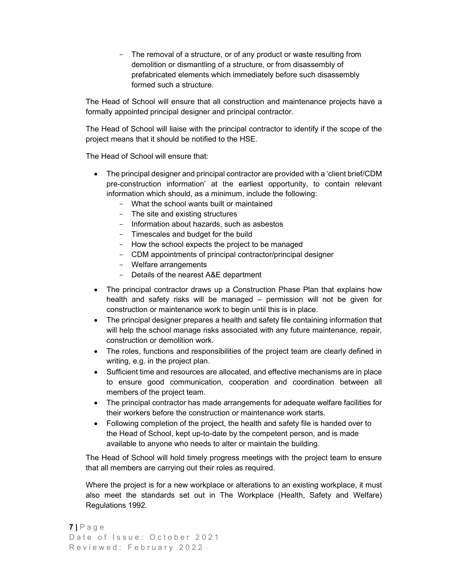The removal of a structure, or of any product or waste resulting from demolition or dismantling of a structure, or from disassembly of prefabricated elements which immediately before such disassembly formed such a structure.

The Head of School will ensure that all construction and maintenance projects have a formally appointed principal designer and principal contractor.

 The Head of School will liaise with the principal contractor to identify if the scope of the project means that it should be notified to the HSE.

The Head of School will ensure that:

- The principal designer and principal contractor are provided with a 'client brief/CDM pre-construction information' at the earliest opportunity, to contain relevant information which should, as a minimum, include the following:
	- What the school wants built or maintained
	- The site and existing structures
	- Information about hazards, such as asbestos
	- Timescales and budget for the build
	- How the school expects the project to be managed
	- CDM appointments of principal contractor/principal designer
	- Welfare arrangements
	- Details of the nearest A&E department
- The principal contractor draws up a Construction Phase Plan that explains how health and safety risks will be managed – permission will not be given for construction or maintenance work to begin until this is in place.
- The principal designer prepares a health and safety file containing information that will help the school manage risks associated with any future maintenance, repair, construction or demolition work.
- The roles, functions and responsibilities of the project team are clearly defined in writing, e.g. in the project plan.
- Sufficient time and resources are allocated, and effective mechanisms are in place to ensure good communication, cooperation and coordination between all members of the project team.
- The principal contractor has made arrangements for adequate welfare facilities for their workers before the construction or maintenance work starts.
- Following completion of the project, the health and safety file is handed over to the Head of School, kept up-to-date by the competent person, and is made available to anyone who needs to alter or maintain the building.

 The Head of School will hold timely progress meetings with the project team to ensure that all members are carrying out their roles as required.

Where the project is for a new workplace or alterations to an existing workplace, it must also meet the standards set out in The Workplace (Health, Safety and Welfare) Regulations 1992.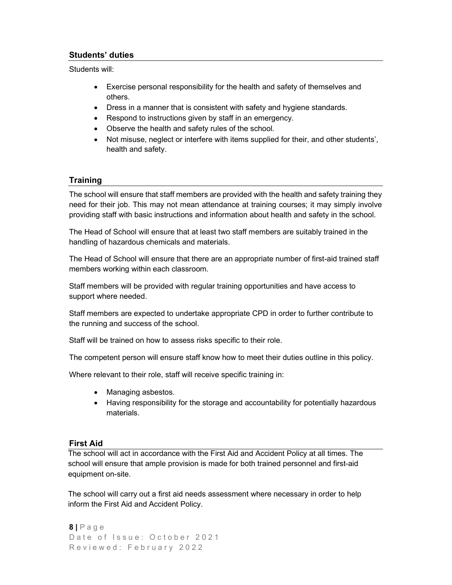# Students' duties

Students will:

- Exercise personal responsibility for the health and safety of themselves and others.
- Dress in a manner that is consistent with safety and hygiene standards.
- Respond to instructions given by staff in an emergency.
- Observe the health and safety rules of the school.
- Not misuse, neglect or interfere with items supplied for their, and other students', health and safety.

# **Training**

The school will ensure that staff members are provided with the health and safety training they need for their job. This may not mean attendance at training courses; it may simply involve providing staff with basic instructions and information about health and safety in the school.

The Head of School will ensure that at least two staff members are suitably trained in the handling of hazardous chemicals and materials.

The Head of School will ensure that there are an appropriate number of first-aid trained staff members working within each classroom.

Staff members will be provided with regular training opportunities and have access to support where needed.

Staff members are expected to undertake appropriate CPD in order to further contribute to the running and success of the school.

Staff will be trained on how to assess risks specific to their role.

The competent person will ensure staff know how to meet their duties outline in this policy.

Where relevant to their role, staff will receive specific training in:

- Managing asbestos.
- Having responsibility for the storage and accountability for potentially hazardous materials.

# First Aid

 The school will act in accordance with the First Aid and Accident Policy at all times. The school will ensure that ample provision is made for both trained personnel and first-aid equipment on-site.

The school will carry out a first aid needs assessment where necessary in order to help inform the First Aid and Accident Policy.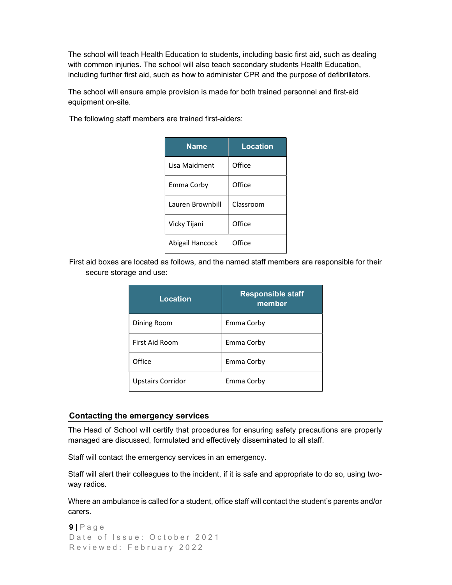The school will teach Health Education to students, including basic first aid, such as dealing with common injuries. The school will also teach secondary students Health Education, including further first aid, such as how to administer CPR and the purpose of defibrillators.

 The school will ensure ample provision is made for both trained personnel and first-aid equipment on-site.

The following staff members are trained first-aiders:

| <b>Name</b>      | <b>Location</b> |
|------------------|-----------------|
| Lisa Maidment    | Office          |
| Emma Corby       | Office          |
| Lauren Brownbill | Classroom       |
| Vicky Tijani     | Office          |
| Abigail Hancock  | Office          |

First aid boxes are located as follows, and the named staff members are responsible for their secure storage and use:

| Location                 | <b>Responsible staff</b><br>member |
|--------------------------|------------------------------------|
| Dining Room              | Emma Corby                         |
| First Aid Room           | Emma Corby                         |
| Office                   | Emma Corby                         |
| <b>Upstairs Corridor</b> | Emma Corby                         |

## Contacting the emergency services

 The Head of School will certify that procedures for ensuring safety precautions are properly managed are discussed, formulated and effectively disseminated to all staff.

Staff will contact the emergency services in an emergency.

 Staff will alert their colleagues to the incident, if it is safe and appropriate to do so, using twoway radios.

 Where an ambulance is called for a student, office staff will contact the student's parents and/or carers.

```
9 | P a g e
Date of Issue: October 2021
Reviewed: February 2022
```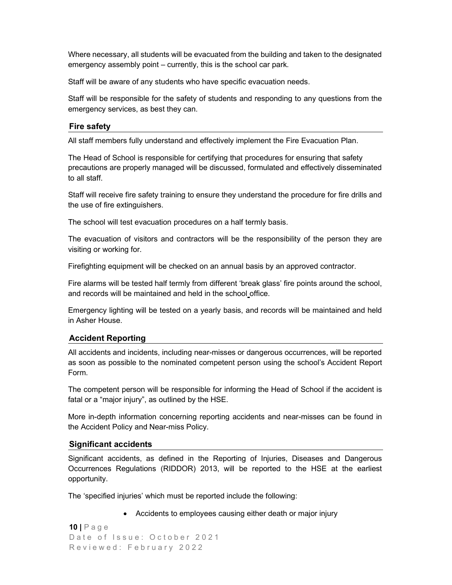Where necessary, all students will be evacuated from the building and taken to the designated emergency assembly point – currently, this is the school car park.

Staff will be aware of any students who have specific evacuation needs.

 Staff will be responsible for the safety of students and responding to any questions from the emergency services, as best they can.

## Fire safety

All staff members fully understand and effectively implement the Fire Evacuation Plan.

 The Head of School is responsible for certifying that procedures for ensuring that safety precautions are properly managed will be discussed, formulated and effectively disseminated to all staff.

 Staff will receive fire safety training to ensure they understand the procedure for fire drills and the use of fire extinguishers.

The school will test evacuation procedures on a half termly basis.

 The evacuation of visitors and contractors will be the responsibility of the person they are visiting or working for.

Firefighting equipment will be checked on an annual basis by an approved contractor.

 Fire alarms will be tested half termly from different 'break glass' fire points around the school, and records will be maintained and held in the school office.

 Emergency lighting will be tested on a yearly basis, and records will be maintained and held in Asher House.

## Accident Reporting

 All accidents and incidents, including near-misses or dangerous occurrences, will be reported as soon as possible to the nominated competent person using the school's Accident Report Form.

 The competent person will be responsible for informing the Head of School if the accident is fatal or a "major injury", as outlined by the HSE.

 More in-depth information concerning reporting accidents and near-misses can be found in the Accident Policy and Near-miss Policy.

#### Significant accidents

 Significant accidents, as defined in the Reporting of Injuries, Diseases and Dangerous Occurrences Regulations (RIDDOR) 2013, will be reported to the HSE at the earliest opportunity.

The 'specified injuries' which must be reported include the following:

Accidents to employees causing either death or major injury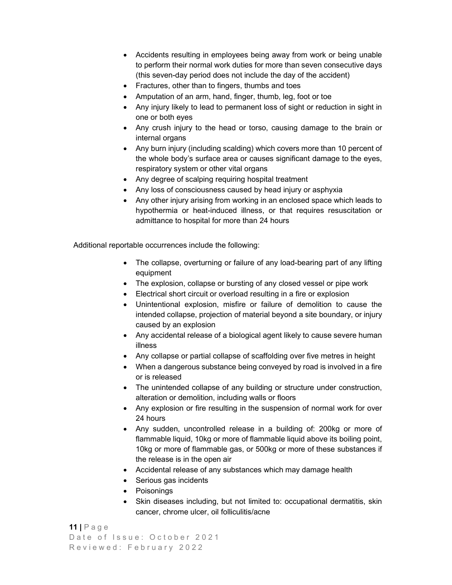- Accidents resulting in employees being away from work or being unable to perform their normal work duties for more than seven consecutive days (this seven-day period does not include the day of the accident)
- Fractures, other than to fingers, thumbs and toes
- Amputation of an arm, hand, finger, thumb, leg, foot or toe
- Any injury likely to lead to permanent loss of sight or reduction in sight in one or both eyes
- Any crush injury to the head or torso, causing damage to the brain or internal organs
- Any burn injury (including scalding) which covers more than 10 percent of the whole body's surface area or causes significant damage to the eyes, respiratory system or other vital organs
- Any degree of scalping requiring hospital treatment
- Any loss of consciousness caused by head injury or asphyxia
- Any other injury arising from working in an enclosed space which leads to hypothermia or heat-induced illness, or that requires resuscitation or admittance to hospital for more than 24 hours

Additional reportable occurrences include the following:

- The collapse, overturning or failure of any load-bearing part of any lifting equipment
- The explosion, collapse or bursting of any closed vessel or pipe work
- Electrical short circuit or overload resulting in a fire or explosion
- Unintentional explosion, misfire or failure of demolition to cause the intended collapse, projection of material beyond a site boundary, or injury caused by an explosion
- Any accidental release of a biological agent likely to cause severe human illness
- Any collapse or partial collapse of scaffolding over five metres in height
- When a dangerous substance being conveyed by road is involved in a fire or is released
- The unintended collapse of any building or structure under construction, alteration or demolition, including walls or floors
- Any explosion or fire resulting in the suspension of normal work for over 24 hours
- Any sudden, uncontrolled release in a building of: 200kg or more of flammable liquid, 10kg or more of flammable liquid above its boiling point, 10kg or more of flammable gas, or 500kg or more of these substances if the release is in the open air
- Accidental release of any substances which may damage health
- Serious gas incidents
- Poisonings
- Skin diseases including, but not limited to: occupational dermatitis, skin cancer, chrome ulcer, oil folliculitis/acne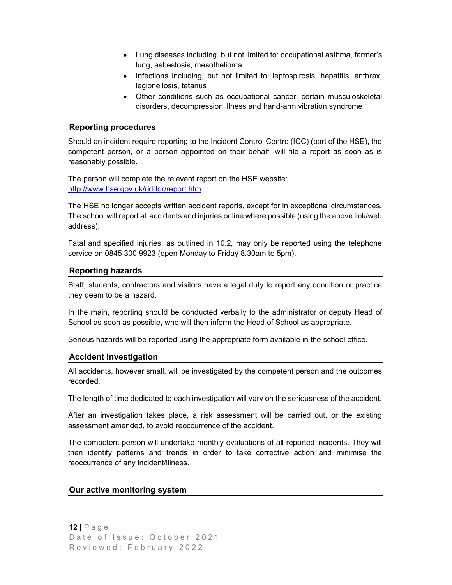- Lung diseases including, but not limited to: occupational asthma, farmer's lung, asbestosis, mesothelioma
- Infections including, but not limited to: leptospirosis, hepatitis, anthrax, legionellosis, tetanus
- Other conditions such as occupational cancer, certain musculoskeletal disorders, decompression illness and hand-arm vibration syndrome

## Reporting procedures

 Should an incident require reporting to the Incident Control Centre (ICC) (part of the HSE), the competent person, or a person appointed on their behalf, will file a report as soon as is reasonably possible.

 The person will complete the relevant report on the HSE website: http://www.hse.gov.uk/riddor/report.htm.

 The HSE no longer accepts written accident reports, except for in exceptional circumstances. The school will report all accidents and injuries online where possible (using the above link/web address).

 Fatal and specified injuries, as outlined in 10.2, may only be reported using the telephone service on 0845 300 9923 (open Monday to Friday 8.30am to 5pm).

## Reporting hazards

 Staff, students, contractors and visitors have a legal duty to report any condition or practice they deem to be a hazard.

 In the main, reporting should be conducted verbally to the administrator or deputy Head of School as soon as possible, who will then inform the Head of School as appropriate.

Serious hazards will be reported using the appropriate form available in the school office.

## Accident Investigation

 All accidents, however small, will be investigated by the competent person and the outcomes recorded.

The length of time dedicated to each investigation will vary on the seriousness of the accident.

 After an investigation takes place, a risk assessment will be carried out, or the existing assessment amended, to avoid reoccurrence of the accident.

 The competent person will undertake monthly evaluations of all reported incidents. They will then identify patterns and trends in order to take corrective action and minimise the reoccurrence of any incident/illness.

## Our active monitoring system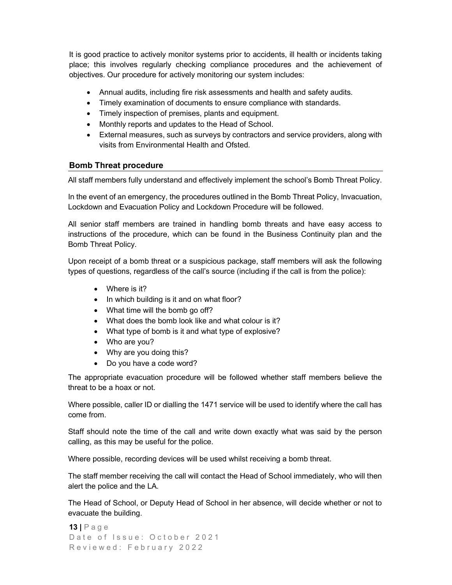It is good practice to actively monitor systems prior to accidents, ill health or incidents taking place; this involves regularly checking compliance procedures and the achievement of objectives. Our procedure for actively monitoring our system includes:

- Annual audits, including fire risk assessments and health and safety audits.
- Timely examination of documents to ensure compliance with standards.
- Timely inspection of premises, plants and equipment.
- Monthly reports and updates to the Head of School.
- External measures, such as surveys by contractors and service providers, along with visits from Environmental Health and Ofsted.

# Bomb Threat procedure

All staff members fully understand and effectively implement the school's Bomb Threat Policy.

 In the event of an emergency, the procedures outlined in the Bomb Threat Policy, Invacuation, Lockdown and Evacuation Policy and Lockdown Procedure will be followed.

 All senior staff members are trained in handling bomb threats and have easy access to instructions of the procedure, which can be found in the Business Continuity plan and the Bomb Threat Policy.

 Upon receipt of a bomb threat or a suspicious package, staff members will ask the following types of questions, regardless of the call's source (including if the call is from the police):

- Where is it?
- In which building is it and on what floor?
- What time will the bomb go off?
- What does the bomb look like and what colour is it?
- What type of bomb is it and what type of explosive?
- Who are you?
- Why are you doing this?
- Do you have a code word?

 The appropriate evacuation procedure will be followed whether staff members believe the threat to be a hoax or not.

 Where possible, caller ID or dialling the 1471 service will be used to identify where the call has come from.

 Staff should note the time of the call and write down exactly what was said by the person calling, as this may be useful for the police.

Where possible, recording devices will be used whilst receiving a bomb threat.

 The staff member receiving the call will contact the Head of School immediately, who will then alert the police and the LA.

 The Head of School, or Deputy Head of School in her absence, will decide whether or not to evacuate the building.

```
13 | P a g e 
Date of Issue: October 2021
Reviewed: February 2022
```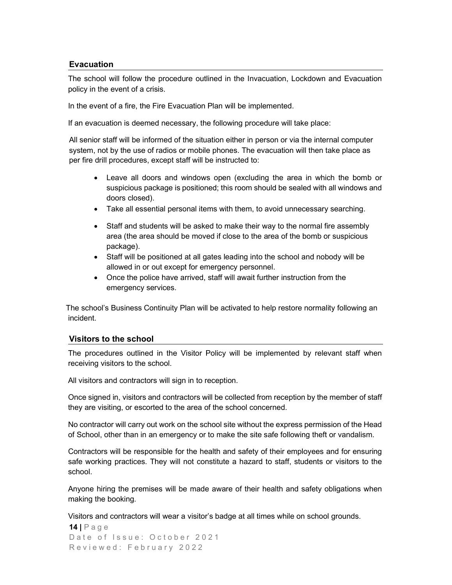## Evacuation

 The school will follow the procedure outlined in the Invacuation, Lockdown and Evacuation policy in the event of a crisis.

In the event of a fire, the Fire Evacuation Plan will be implemented.

If an evacuation is deemed necessary, the following procedure will take place:

All senior staff will be informed of the situation either in person or via the internal computer system, not by the use of radios or mobile phones. The evacuation will then take place as per fire drill procedures, except staff will be instructed to:

- Leave all doors and windows open (excluding the area in which the bomb or suspicious package is positioned; this room should be sealed with all windows and doors closed).
- Take all essential personal items with them, to avoid unnecessary searching.
- Staff and students will be asked to make their way to the normal fire assembly area (the area should be moved if close to the area of the bomb or suspicious package).
- Staff will be positioned at all gates leading into the school and nobody will be allowed in or out except for emergency personnel.
- Once the police have arrived, staff will await further instruction from the emergency services.

 The school's Business Continuity Plan will be activated to help restore normality following an incident.

#### Visitors to the school

 The procedures outlined in the Visitor Policy will be implemented by relevant staff when receiving visitors to the school.

All visitors and contractors will sign in to reception.

 Once signed in, visitors and contractors will be collected from reception by the member of staff they are visiting, or escorted to the area of the school concerned.

 No contractor will carry out work on the school site without the express permission of the Head of School, other than in an emergency or to make the site safe following theft or vandalism.

 Contractors will be responsible for the health and safety of their employees and for ensuring safe working practices. They will not constitute a hazard to staff, students or visitors to the school.

 Anyone hiring the premises will be made aware of their health and safety obligations when making the booking.

Visitors and contractors will wear a visitor's badge at all times while on school grounds.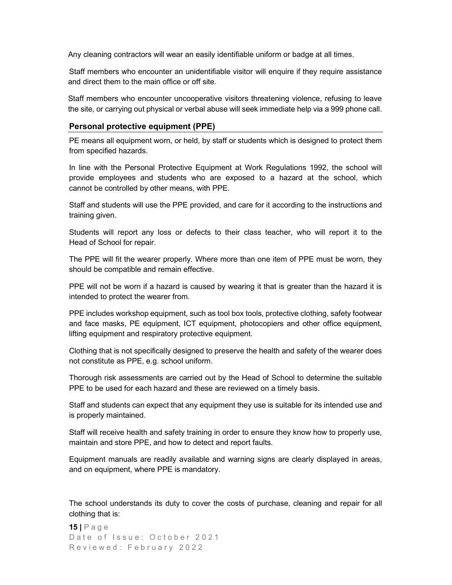Any cleaning contractors will wear an easily identifiable uniform or badge at all times.

 Staff members who encounter an unidentifiable visitor will enquire if they require assistance and direct them to the main office or off site.

 Staff members who encounter uncooperative visitors threatening violence, refusing to leave the site, or carrying out physical or verbal abuse will seek immediate help via a 999 phone call.

#### Personal protective equipment (PPE)

 PE means all equipment worn, or held, by staff or students which is designed to protect them from specified hazards.

 In line with the Personal Protective Equipment at Work Regulations 1992, the school will provide employees and students who are exposed to a hazard at the school, which cannot be controlled by other means, with PPE.

 Staff and students will use the PPE provided, and care for it according to the instructions and training given.

 Students will report any loss or defects to their class teacher, who will report it to the Head of School for repair.

 The PPE will fit the wearer properly. Where more than one item of PPE must be worn, they should be compatible and remain effective.

 PPE will not be worn if a hazard is caused by wearing it that is greater than the hazard it is intended to protect the wearer from.

 PPE includes workshop equipment, such as tool box tools, protective clothing, safety footwear and face masks, PE equipment, ICT equipment, photocopiers and other office equipment, lifting equipment and respiratory protective equipment.

 Clothing that is not specifically designed to preserve the health and safety of the wearer does not constitute as PPE, e.g. school uniform.

 Thorough risk assessments are carried out by the Head of School to determine the suitable PPE to be used for each hazard and these are reviewed on a timely basis.

 Staff and students can expect that any equipment they use is suitable for its intended use and is properly maintained.

 Staff will receive health and safety training in order to ensure they know how to properly use, maintain and store PPE, and how to detect and report faults.

 Equipment manuals are readily available and warning signs are clearly displayed in areas, and on equipment, where PPE is mandatory.

 The school understands its duty to cover the costs of purchase, cleaning and repair for all clothing that is: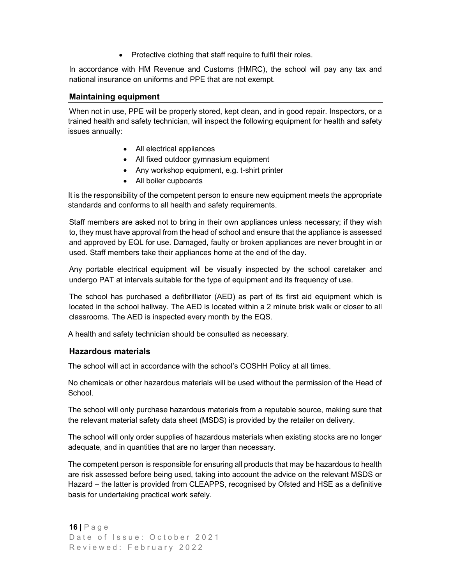• Protective clothing that staff require to fulfil their roles.

 In accordance with HM Revenue and Customs (HMRC), the school will pay any tax and national insurance on uniforms and PPE that are not exempt.

#### Maintaining equipment

 When not in use, PPE will be properly stored, kept clean, and in good repair. Inspectors, or a trained health and safety technician, will inspect the following equipment for health and safety issues annually:

- All electrical appliances
- All fixed outdoor gymnasium equipment
- Any workshop equipment, e.g. t-shirt printer
- All boiler cupboards

 It is the responsibility of the competent person to ensure new equipment meets the appropriate standards and conforms to all health and safety requirements.

Staff members are asked not to bring in their own appliances unless necessary; if they wish to, they must have approval from the head of school and ensure that the appliance is assessed and approved by EQL for use. Damaged, faulty or broken appliances are never brought in or used. Staff members take their appliances home at the end of the day.

Any portable electrical equipment will be visually inspected by the school caretaker and undergo PAT at intervals suitable for the type of equipment and its frequency of use.

The school has purchased a defibrilliator (AED) as part of its first aid equipment which is located in the school hallway. The AED is located within a 2 minute brisk walk or closer to all classrooms. The AED is inspected every month by the EQS.

A health and safety technician should be consulted as necessary.

#### Hazardous materials

The school will act in accordance with the school's COSHH Policy at all times.

 No chemicals or other hazardous materials will be used without the permission of the Head of School.

 The school will only purchase hazardous materials from a reputable source, making sure that the relevant material safety data sheet (MSDS) is provided by the retailer on delivery.

 The school will only order supplies of hazardous materials when existing stocks are no longer adequate, and in quantities that are no larger than necessary.

 The competent person is responsible for ensuring all products that may be hazardous to health are risk assessed before being used, taking into account the advice on the relevant MSDS or Hazard – the latter is provided from CLEAPPS, recognised by Ofsted and HSE as a definitive basis for undertaking practical work safely.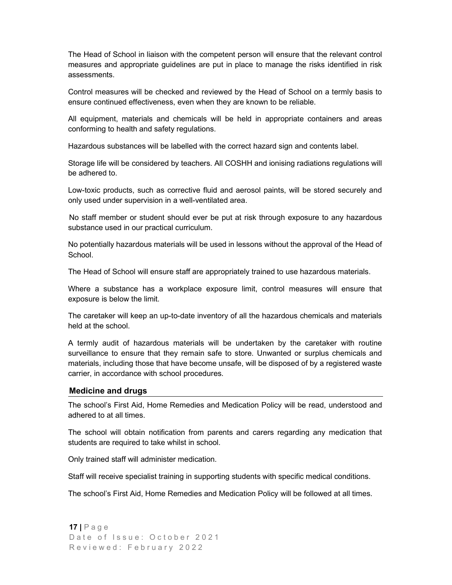The Head of School in liaison with the competent person will ensure that the relevant control measures and appropriate guidelines are put in place to manage the risks identified in risk assessments.

 Control measures will be checked and reviewed by the Head of School on a termly basis to ensure continued effectiveness, even when they are known to be reliable.

 All equipment, materials and chemicals will be held in appropriate containers and areas conforming to health and safety regulations.

Hazardous substances will be labelled with the correct hazard sign and contents label.

 Storage life will be considered by teachers. All COSHH and ionising radiations regulations will be adhered to.

 Low-toxic products, such as corrective fluid and aerosol paints, will be stored securely and only used under supervision in a well-ventilated area.

 No staff member or student should ever be put at risk through exposure to any hazardous substance used in our practical curriculum.

 No potentially hazardous materials will be used in lessons without the approval of the Head of School.

The Head of School will ensure staff are appropriately trained to use hazardous materials.

 Where a substance has a workplace exposure limit, control measures will ensure that exposure is below the limit.

 The caretaker will keep an up-to-date inventory of all the hazardous chemicals and materials held at the school.

 A termly audit of hazardous materials will be undertaken by the caretaker with routine surveillance to ensure that they remain safe to store. Unwanted or surplus chemicals and materials, including those that have become unsafe, will be disposed of by a registered waste carrier, in accordance with school procedures.

#### Medicine and drugs

 The school's First Aid, Home Remedies and Medication Policy will be read, understood and adhered to at all times.

The school will obtain notification from parents and carers regarding any medication that students are required to take whilst in school.

Only trained staff will administer medication.

Staff will receive specialist training in supporting students with specific medical conditions.

The school's First Aid, Home Remedies and Medication Policy will be followed at all times.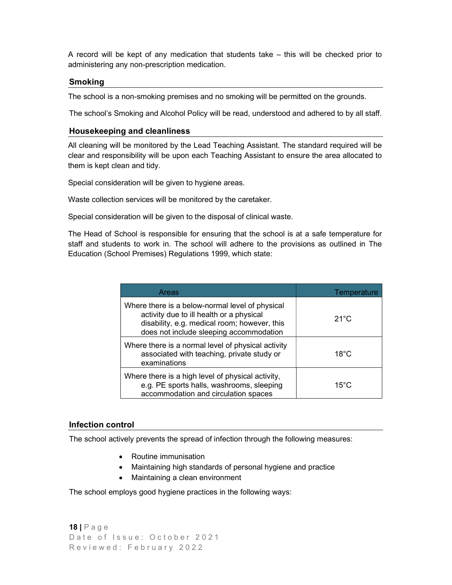A record will be kept of any medication that students take – this will be checked prior to administering any non-prescription medication.

## **Smoking**

The school is a non-smoking premises and no smoking will be permitted on the grounds.

The school's Smoking and Alcohol Policy will be read, understood and adhered to by all staff.

## Housekeeping and cleanliness

 All cleaning will be monitored by the Lead Teaching Assistant. The standard required will be clear and responsibility will be upon each Teaching Assistant to ensure the area allocated to them is kept clean and tidy.

Special consideration will be given to hygiene areas.

Waste collection services will be monitored by the caretaker.

Special consideration will be given to the disposal of clinical waste.

 The Head of School is responsible for ensuring that the school is at a safe temperature for staff and students to work in. The school will adhere to the provisions as outlined in The Education (School Premises) Regulations 1999, which state:

| Areas                                                                                                                                                                                  | Temperature    |
|----------------------------------------------------------------------------------------------------------------------------------------------------------------------------------------|----------------|
| Where there is a below-normal level of physical<br>activity due to ill health or a physical<br>disability, e.g. medical room; however, this<br>does not include sleeping accommodation | $21^{\circ}$ C |
| Where there is a normal level of physical activity<br>associated with teaching, private study or<br>examinations                                                                       | $18^{\circ}$ C |
| Where there is a high level of physical activity,<br>e.g. PE sports halls, washrooms, sleeping<br>accommodation and circulation spaces                                                 | $15^{\circ}$ C |

## Infection control

The school actively prevents the spread of infection through the following measures:

- Routine immunisation
- Maintaining high standards of personal hygiene and practice
- Maintaining a clean environment

The school employs good hygiene practices in the following ways:

```
18 | P a g e 
Date of Issue: October 2021
Reviewed: February 2022
```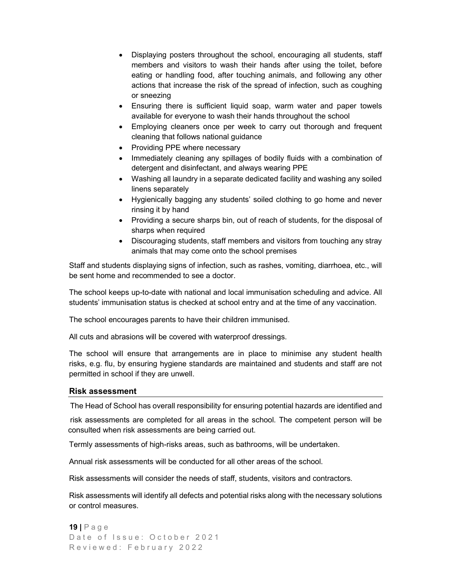- Displaying posters throughout the school, encouraging all students, staff members and visitors to wash their hands after using the toilet, before eating or handling food, after touching animals, and following any other actions that increase the risk of the spread of infection, such as coughing or sneezing
- Ensuring there is sufficient liquid soap, warm water and paper towels available for everyone to wash their hands throughout the school
- Employing cleaners once per week to carry out thorough and frequent cleaning that follows national guidance
- Providing PPE where necessary
- Immediately cleaning any spillages of bodily fluids with a combination of detergent and disinfectant, and always wearing PPE
- Washing all laundry in a separate dedicated facility and washing any soiled linens separately
- Hygienically bagging any students' soiled clothing to go home and never rinsing it by hand
- Providing a secure sharps bin, out of reach of students, for the disposal of sharps when required
- Discouraging students, staff members and visitors from touching any stray animals that may come onto the school premises

 Staff and students displaying signs of infection, such as rashes, vomiting, diarrhoea, etc., will be sent home and recommended to see a doctor.

 The school keeps up-to-date with national and local immunisation scheduling and advice. All students' immunisation status is checked at school entry and at the time of any vaccination.

The school encourages parents to have their children immunised.

All cuts and abrasions will be covered with waterproof dressings.

 The school will ensure that arrangements are in place to minimise any student health risks, e.g. flu, by ensuring hygiene standards are maintained and students and staff are not permitted in school if they are unwell.

## Risk assessment

The Head of School has overall responsibility for ensuring potential hazards are identified and

 risk assessments are completed for all areas in the school. The competent person will be consulted when risk assessments are being carried out.

Termly assessments of high-risks areas, such as bathrooms, will be undertaken.

Annual risk assessments will be conducted for all other areas of the school.

Risk assessments will consider the needs of staff, students, visitors and contractors.

 Risk assessments will identify all defects and potential risks along with the necessary solutions or control measures.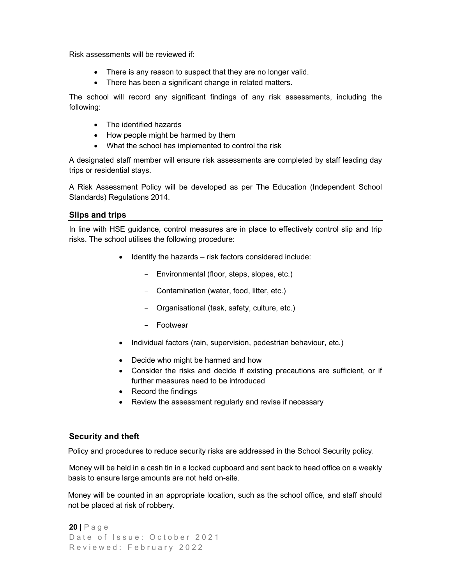Risk assessments will be reviewed if:

- There is any reason to suspect that they are no longer valid.
- There has been a significant change in related matters.

 The school will record any significant findings of any risk assessments, including the following:

- The identified hazards
- How people might be harmed by them
- What the school has implemented to control the risk

 A designated staff member will ensure risk assessments are completed by staff leading day trips or residential stays.

 A Risk Assessment Policy will be developed as per The Education (Independent School Standards) Regulations 2014.

## Slips and trips

 In line with HSE guidance, control measures are in place to effectively control slip and trip risks. The school utilises the following procedure:

- Identify the hazards risk factors considered include:
	- Environmental (floor, steps, slopes, etc.)
	- Contamination (water, food, litter, etc.)
	- Organisational (task, safety, culture, etc.)
	- Footwear
- Individual factors (rain, supervision, pedestrian behaviour, etc.)
- Decide who might be harmed and how
- Consider the risks and decide if existing precautions are sufficient, or if further measures need to be introduced
- Record the findings
- Review the assessment regularly and revise if necessary

#### Security and theft

Policy and procedures to reduce security risks are addressed in the School Security policy.

 Money will be held in a cash tin in a locked cupboard and sent back to head office on a weekly basis to ensure large amounts are not held on-site.

 Money will be counted in an appropriate location, such as the school office, and staff should not be placed at risk of robbery.

```
20 | P a g e 
Date of Issue: October 2021
Reviewed: February 2022
```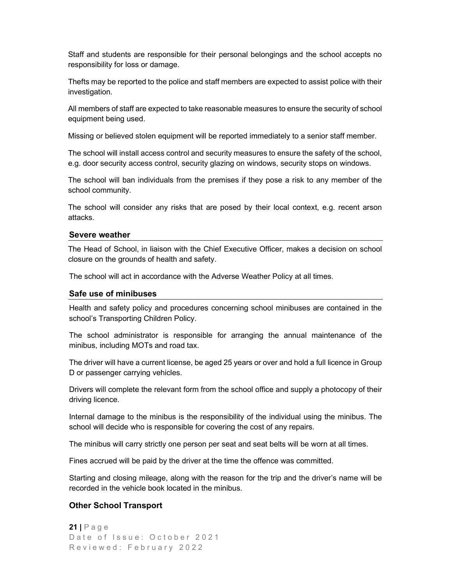Staff and students are responsible for their personal belongings and the school accepts no responsibility for loss or damage.

 Thefts may be reported to the police and staff members are expected to assist police with their investigation.

 All members of staff are expected to take reasonable measures to ensure the security of school equipment being used.

Missing or believed stolen equipment will be reported immediately to a senior staff member.

The school will install access control and security measures to ensure the safety of the school, e.g. door security access control, security glazing on windows, security stops on windows.

The school will ban individuals from the premises if they pose a risk to any member of the school community.

The school will consider any risks that are posed by their local context, e.g. recent arson attacks.

#### Severe weather

 The Head of School, in liaison with the Chief Executive Officer, makes a decision on school closure on the grounds of health and safety.

The school will act in accordance with the Adverse Weather Policy at all times.

#### Safe use of minibuses

 Health and safety policy and procedures concerning school minibuses are contained in the school's Transporting Children Policy.

 The school administrator is responsible for arranging the annual maintenance of the minibus, including MOTs and road tax.

 The driver will have a current license, be aged 25 years or over and hold a full licence in Group D or passenger carrying vehicles.

 Drivers will complete the relevant form from the school office and supply a photocopy of their driving licence.

 Internal damage to the minibus is the responsibility of the individual using the minibus. The school will decide who is responsible for covering the cost of any repairs.

The minibus will carry strictly one person per seat and seat belts will be worn at all times.

Fines accrued will be paid by the driver at the time the offence was committed.

 Starting and closing mileage, along with the reason for the trip and the driver's name will be recorded in the vehicle book located in the minibus.

#### Other School Transport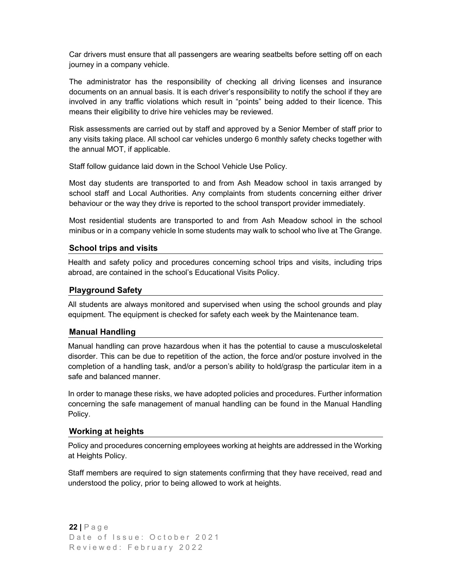Car drivers must ensure that all passengers are wearing seatbelts before setting off on each journey in a company vehicle.

 The administrator has the responsibility of checking all driving licenses and insurance documents on an annual basis. It is each driver's responsibility to notify the school if they are involved in any traffic violations which result in "points" being added to their licence. This means their eligibility to drive hire vehicles may be reviewed.

 Risk assessments are carried out by staff and approved by a Senior Member of staff prior to any visits taking place. All school car vehicles undergo 6 monthly safety checks together with the annual MOT, if applicable.

Staff follow guidance laid down in the School Vehicle Use Policy.

 Most day students are transported to and from Ash Meadow school in taxis arranged by school staff and Local Authorities. Any complaints from students concerning either driver behaviour or the way they drive is reported to the school transport provider immediately.

 Most residential students are transported to and from Ash Meadow school in the school minibus or in a company vehicle ln some students may walk to school who live at The Grange.

# School trips and visits

 Health and safety policy and procedures concerning school trips and visits, including trips abroad, are contained in the school's Educational Visits Policy.

## Playground Safety

 All students are always monitored and supervised when using the school grounds and play equipment. The equipment is checked for safety each week by the Maintenance team.

## Manual Handling

 Manual handling can prove hazardous when it has the potential to cause a musculoskeletal disorder. This can be due to repetition of the action, the force and/or posture involved in the completion of a handling task, and/or a person's ability to hold/grasp the particular item in a safe and balanced manner.

 In order to manage these risks, we have adopted policies and procedures. Further information concerning the safe management of manual handling can be found in the Manual Handling Policy.

## Working at heights

 Policy and procedures concerning employees working at heights are addressed in the Working at Heights Policy.

 Staff members are required to sign statements confirming that they have received, read and understood the policy, prior to being allowed to work at heights.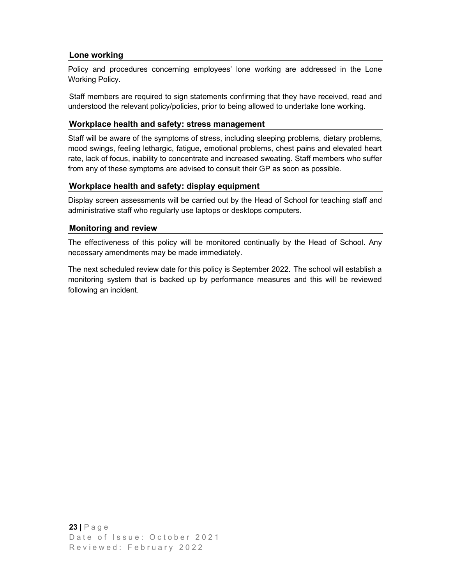# Lone working

 Policy and procedures concerning employees' lone working are addressed in the Lone Working Policy.

 Staff members are required to sign statements confirming that they have received, read and understood the relevant policy/policies, prior to being allowed to undertake lone working.

## Workplace health and safety: stress management

 Staff will be aware of the symptoms of stress, including sleeping problems, dietary problems, mood swings, feeling lethargic, fatigue, emotional problems, chest pains and elevated heart rate, lack of focus, inability to concentrate and increased sweating. Staff members who suffer from any of these symptoms are advised to consult their GP as soon as possible.

## Workplace health and safety: display equipment

 Display screen assessments will be carried out by the Head of School for teaching staff and administrative staff who regularly use laptops or desktops computers.

## Monitoring and review

 The effectiveness of this policy will be monitored continually by the Head of School. Any necessary amendments may be made immediately.

 The next scheduled review date for this policy is September 2022. The school will establish a monitoring system that is backed up by performance measures and this will be reviewed following an incident.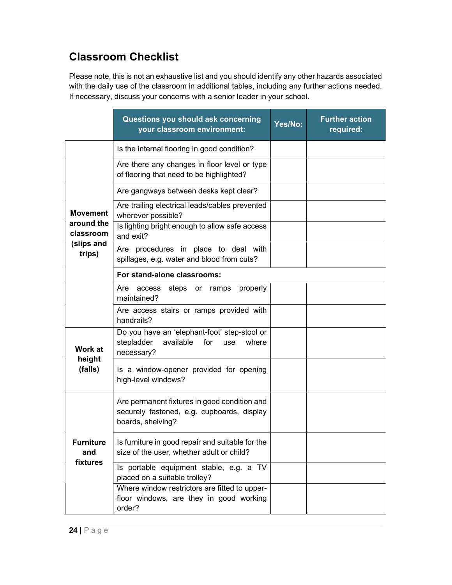# Classroom Checklist

Please note, this is not an exhaustive list and you should identify any other hazards associated with the daily use of the classroom in additional tables, including any further actions needed. If necessary, discuss your concerns with a senior leader in your school.

|                         | Questions you should ask concerning<br>your classroom environment:                                              | Yes/No: | <b>Further action</b><br>required: |
|-------------------------|-----------------------------------------------------------------------------------------------------------------|---------|------------------------------------|
|                         | Is the internal flooring in good condition?                                                                     |         |                                    |
|                         | Are there any changes in floor level or type<br>of flooring that need to be highlighted?                        |         |                                    |
|                         | Are gangways between desks kept clear?                                                                          |         |                                    |
| <b>Movement</b>         | Are trailing electrical leads/cables prevented<br>wherever possible?                                            |         |                                    |
| around the<br>classroom | Is lighting bright enough to allow safe access<br>and exit?                                                     |         |                                    |
| (slips and<br>trips)    | Are procedures in place to deal with<br>spillages, e.g. water and blood from cuts?                              |         |                                    |
|                         | For stand-alone classrooms:                                                                                     |         |                                    |
|                         | access<br>steps or ramps<br>properly<br>Are<br>maintained?                                                      |         |                                    |
|                         | Are access stairs or ramps provided with<br>handrails?                                                          |         |                                    |
| Work at                 | Do you have an 'elephant-foot' step-stool or<br>stepladder<br>available<br>for<br>where<br>use<br>necessary?    |         |                                    |
| height<br>(falls)       | Is a window-opener provided for opening<br>high-level windows?                                                  |         |                                    |
|                         | Are permanent fixtures in good condition and<br>securely fastened, e.g. cupboards, display<br>boards, shelving? |         |                                    |
| <b>Furniture</b><br>and | Is furniture in good repair and suitable for the<br>size of the user, whether adult or child?                   |         |                                    |
| fixtures                | Is portable equipment stable, e.g. a TV<br>placed on a suitable trolley?                                        |         |                                    |
|                         | Where window restrictors are fitted to upper-<br>floor windows, are they in good working<br>order?              |         |                                    |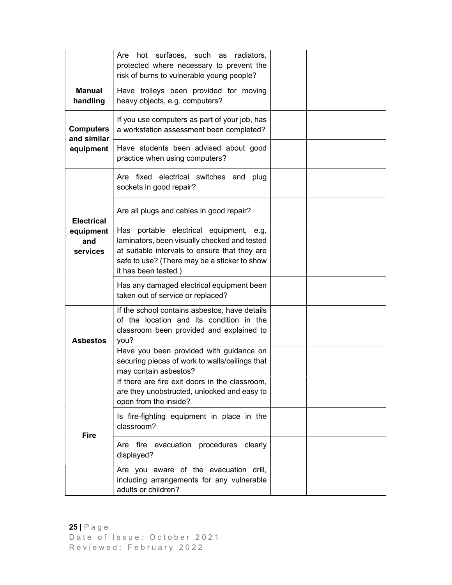|                                 | hot surfaces, such as radiators,<br>Are<br>protected where necessary to prevent the<br>risk of burns to vulnerable young people?                                                                                 |  |
|---------------------------------|------------------------------------------------------------------------------------------------------------------------------------------------------------------------------------------------------------------|--|
| <b>Manual</b><br>handling       | Have trolleys been provided for moving<br>heavy objects, e.g. computers?                                                                                                                                         |  |
| <b>Computers</b><br>and similar | If you use computers as part of your job, has<br>a workstation assessment been completed?                                                                                                                        |  |
| equipment                       | Have students been advised about good<br>practice when using computers?                                                                                                                                          |  |
|                                 | Are fixed electrical switches and plug<br>sockets in good repair?                                                                                                                                                |  |
| <b>Electrical</b>               | Are all plugs and cables in good repair?                                                                                                                                                                         |  |
| equipment<br>and<br>services    | Has portable electrical equipment, e.g.<br>laminators, been visually checked and tested<br>at suitable intervals to ensure that they are<br>safe to use? (There may be a sticker to show<br>it has been tested.) |  |
|                                 | Has any damaged electrical equipment been<br>taken out of service or replaced?                                                                                                                                   |  |
| <b>Asbestos</b>                 | If the school contains asbestos, have details<br>of the location and its condition in the<br>classroom been provided and explained to<br>you?                                                                    |  |
|                                 | Have you been provided with guidance on<br>securing pieces of work to walls/ceilings that<br>may contain asbestos?                                                                                               |  |
|                                 | If there are fire exit doors in the classroom,<br>are they unobstructed, unlocked and easy to<br>open from the inside?                                                                                           |  |
| <b>Fire</b>                     | Is fire-fighting equipment in place in the<br>classroom?                                                                                                                                                         |  |
|                                 | Are fire evacuation procedures clearly<br>displayed?                                                                                                                                                             |  |
|                                 | Are you aware of the evacuation drill,<br>including arrangements for any vulnerable<br>adults or children?                                                                                                       |  |